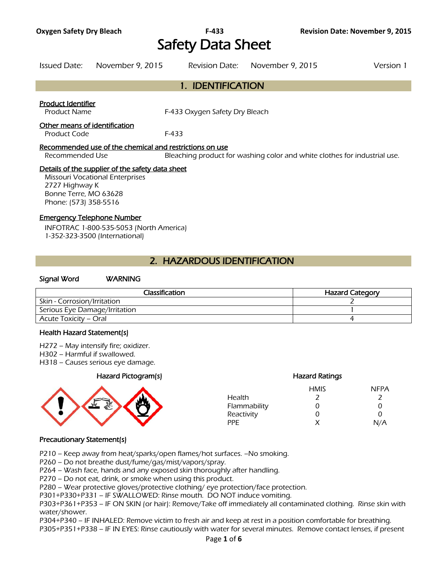# Safety Data Sheet

Issued Date: November 9, 2015 Revision Date: November 9, 2015 Version 1

# 1. IDENTIFICATION

#### Product Identifier

Product Name **F-433 Oxygen Safety Dry Bleach** 

#### Other means of identification

Product Code F-433

#### Recommended use of the chemical and restrictions on use

Recommended Use Bleaching product for washing color and white clothes for industrial use.

#### Details of the supplier of the safety data sheet

Missouri Vocational Enterprises 2727 Highway K Bonne Terre, MO 63628 Phone: (573) 358-5516

#### Emergency Telephone Number

INFOTRAC 1-800-535-5053 (North America) 1-352-323-3500 (International)

# 2. HAZARDOUS IDENTIFICATION

#### Signal Word WARNING

| Classification                | <b>Hazard Category</b> |
|-------------------------------|------------------------|
| Skin - Corrosion/Irritation   |                        |
| Serious Eye Damage/Irritation |                        |
| Acute Toxicity – Oral         |                        |
|                               |                        |

#### Health Hazard Statement(s)

- H272 May intensify fire; oxidizer.
- H302 Harmful if swallowed.
- H318 Causes serious eye damage.

### Hazard Pictogram(s) Hazard Ratings



|              | <b>HMIS</b> | <b>NFPA</b> |
|--------------|-------------|-------------|
| Health       |             |             |
| Flammability | O           | 0           |
| Reactivity   | O           | O           |
| PPF          | x           | N/A         |

#### Precautionary Statement(s)

P210 – Keep away from heat/sparks/open flames/hot surfaces. –No smoking.

P260 – Do not breathe dust/fume/gas/mist/vapors/spray.

P264 – Wash face, hands and any exposed skin thoroughly after handling.

P270 – Do not eat, drink, or smoke when using this product.

P280 – Wear protective gloves/protective clothing/ eye protection/face protection.

P301+P330+P331 – IF SWALLOWED: Rinse mouth. DO NOT induce vomiting.

P303+P361+P353 – IF ON SKIN (or hair): Remove/Take off immediately all contaminated clothing. Rinse skin with water/shower.

P304+P340 – IF INHALED: Remove victim to fresh air and keep at rest in a position comfortable for breathing. P305+P351+P338 – IF IN EYES: Rinse cautiously with water for several minutes. Remove contact lenses, if present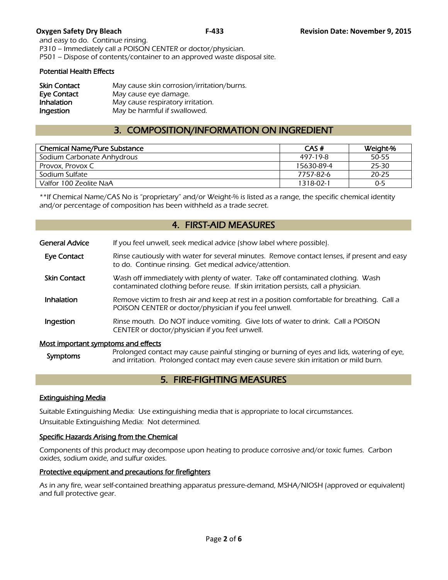and easy to do. Continue rinsing. P310 – Immediately call a POISON CENTER or doctor/physician. P501 – Dispose of contents/container to an approved waste disposal site.

#### Potential Health Effects

| <b>Skin Contact</b> | May cause skin corrosion/irritation/burns. |
|---------------------|--------------------------------------------|
| Eye Contact         | May cause eye damage.                      |
| Inhalation          | May cause respiratory irritation.          |
| Ingestion           | May be harmful if swallowed.               |

# 3. COMPOSITION/INFORMATION ON INGREDIENT

| <b>Chemical Name/Pure Substance</b> | CAS#       | Weight-% |
|-------------------------------------|------------|----------|
| Sodium Carbonate Anhydrous          | 497-19-8   | 50-55    |
| Provox, Provox C                    | 15630-89-4 | 25-30    |
| Sodium Sulfate                      | 7757-82-6  | 20-25    |
| Valfor 100 Zeolite NaA              | 1318-02-1  | $0 - 5$  |
|                                     |            |          |

\*\*If Chemical Name/CAS No is "proprietary" and/or Weight-% is listed as a range, the specific chemical identity and/or percentage of composition has been withheld as a trade secret.

# 4. FIRST-AID MEASURES

| <b>General Advice</b>               | If you feel unwell, seek medical advice (show label where possible).                                                                                                  |
|-------------------------------------|-----------------------------------------------------------------------------------------------------------------------------------------------------------------------|
| Eye Contact                         | Rinse cautiously with water for several minutes. Remove contact lenses, if present and easy<br>to do. Continue rinsing. Get medical advice/attention.                 |
| <b>Skin Contact</b>                 | Wash off immediately with plenty of water. Take off contaminated clothing. Wash<br>contaminated clothing before reuse. If skin irritation persists, call a physician. |
| Inhalation                          | Remove victim to fresh air and keep at rest in a position comfortable for breathing. Call a<br>POISON CENTER or doctor/physician if you feel unwell.                  |
| Ingestion                           | Rinse mouth. Do NOT induce vomiting. Give lots of water to drink. Call a POISON<br>CENTER or doctor/physician if you feel unwell.                                     |
| Most important symptoms and effects | $R_{\rm FQ}$                                                                                                                                                          |

Symptoms Prolonged contact may cause painful stinging or burning of eyes and lids, watering of eye,<br>Symptoms and irritation. Prolonged contact may over cause covere clin irritation or mild burn and irritation. Prolonged contact may even cause severe skin irritation or mild burn.

# 5. FIRE-FIGHTING MEASURES

### Extinguishing Media

Suitable Extinguishing Media: Use extinguishing media that is appropriate to local circumstances. Unsuitable Extinguishing Media: Not determined.

### Specific Hazards Arising from the Chemical

Components of this product may decompose upon heating to produce corrosive and/or toxic fumes. Carbon oxides, sodium oxide, and sulfur oxides.

### Protective equipment and precautions for firefighters

As in any fire, wear self-contained breathing apparatus pressure-demand, MSHA/NIOSH (approved or equivalent) and full protective gear.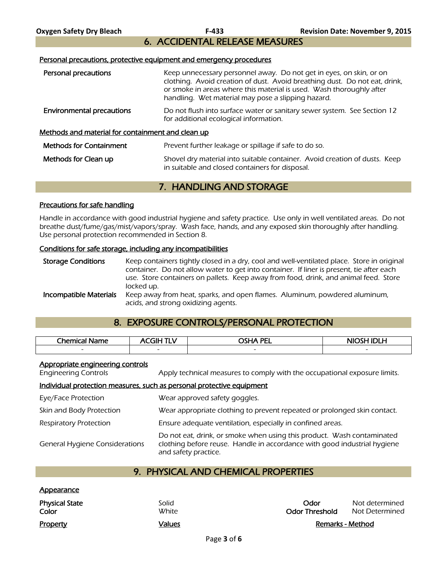6. ACCIDENTAL RELEASE MEASURES

#### Personal precautions, protective equipment and emergency procedures

| Personal precautions                                     | Keep unnecessary personnel away. Do not get in eyes, on skin, or on<br>clothing. Avoid creation of dust. Avoid breathing dust. Do not eat, drink,<br>or smoke in areas where this material is used. Wash thoroughly after<br>handling. Wet material may pose a slipping hazard. |  |
|----------------------------------------------------------|---------------------------------------------------------------------------------------------------------------------------------------------------------------------------------------------------------------------------------------------------------------------------------|--|
| <b>Environmental precautions</b>                         | Do not flush into surface water or sanitary sewer system. See Section 12<br>for additional ecological information.                                                                                                                                                              |  |
| <u>Methods and material for containment and clean up</u> |                                                                                                                                                                                                                                                                                 |  |
| <b>Methods for Containment</b>                           | Prevent further leakage or spillage if safe to do so.                                                                                                                                                                                                                           |  |
| Methods for Clean up                                     | Shovel dry material into suitable container. Avoid creation of dusts. Keep<br>in suitable and closed containers for disposal.                                                                                                                                                   |  |
|                                                          |                                                                                                                                                                                                                                                                                 |  |

# 7. HANDLING AND STORAGE

#### Precautions for safe handling

Handle in accordance with good industrial hygiene and safety practice. Use only in well ventilated areas. Do not breathe dust/fume/gas/mist/vapors/spray. Wash face, hands, and any exposed skin thoroughly after handling. Use personal protection recommended in Section 8.

#### Conditions for safe storage, including any incompatibilities

Storage Conditions Keep containers tightly closed in a dry, cool and well-ventilated place. Store in original container. Do not allow water to get into container. If liner is present, tie after each use. Store containers on pallets. Keep away from food, drink, and animal feed. Store locked up. **Incompatible Materials** Keep away from heat, sparks, and open flames. Aluminum, powdered aluminum, acids, and strong oxidizing agents.

# 8. EXPOSURE CONTROLS/PERSONAL PROTECTION

| Chemical<br>Name. | .<br>FІН                 | <b><i>OSHA PEL</i></b>   | <b>NIOSH IDLH</b> |
|-------------------|--------------------------|--------------------------|-------------------|
| -                 | $\overline{\phantom{0}}$ | $\overline{\phantom{0}}$ | $\sim$            |
|                   |                          |                          |                   |

#### Appropriate engineering controls

Engineering Controls Apply technical measures to comply with the occupational exposure limits.

#### Individual protection measures, such as personal protective equipment

| Eye/Face Protection                   | Wear approved safety goggles.                                                                                                                                              |
|---------------------------------------|----------------------------------------------------------------------------------------------------------------------------------------------------------------------------|
| Skin and Body Protection              | Wear appropriate clothing to prevent repeated or prolonged skin contact.                                                                                                   |
| <b>Respiratory Protection</b>         | Ensure adequate ventilation, especially in confined areas.                                                                                                                 |
| <b>General Hygiene Considerations</b> | Do not eat, drink, or smoke when using this product. Wash contaminated<br>clothing before reuse. Handle in accordance with good industrial hygiene<br>and safety practice. |

# 9. PHYSICAL AND CHEMICAL PROPERTIES

| <u>Appearance</u>              |                |                               |                                  |
|--------------------------------|----------------|-------------------------------|----------------------------------|
| <b>Physical State</b><br>Color | Solid<br>White | Odor<br><b>Odor Threshold</b> | Not determined<br>Not Determined |
| <b>Property</b>                | Values         | Remarks - Method              |                                  |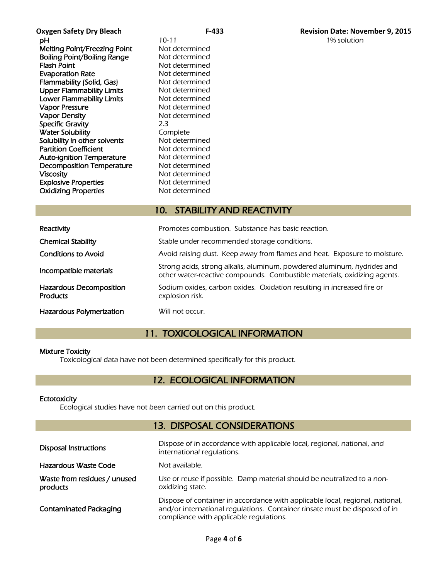**Oxygen Safety Dry Bleach F-433 Revision Date: November 9, 2015 pH** 10-11 10-11 1% solution Melting Point/Freezing Point Not determined **Boiling Point/Boiling Range Not determined<br>Flash Point Communisty Range Mot determined Evaporation Rate** Not determined Flammability (Solid, Gas) Not determined Upper Flammability Limits Not determined Lower Flammability Limits Not determined Vapor Pressure Not determined Vapor Density Not determined Specific Gravity 2.3 **Water Solubility Complete**<br> **Solubility in other solvents** Not determined Solubility in other solvents Partition Coefficient Not determined Auto-ignition Temperature Mot determined Decomposition Temperature Not determined Viscosity<br>
Explosive Properties<br>
Explosive Properties<br>
Not determined **Explosive Properties** Oxidizing Properties Not determined

Not determined

# 10. STABILITY AND REACTIVITY

| Reactivity                                 | Promotes combustion. Substance has basic reaction.                                                                                                  |
|--------------------------------------------|-----------------------------------------------------------------------------------------------------------------------------------------------------|
| <b>Chemical Stability</b>                  | Stable under recommended storage conditions.                                                                                                        |
| <b>Conditions to Avoid</b>                 | Avoid raising dust. Keep away from flames and heat. Exposure to moisture.                                                                           |
| Incompatible materials                     | Strong acids, strong alkalis, aluminum, powdered aluminum, hydrides and<br>other water-reactive compounds. Combustible materials, oxidizing agents. |
| Hazardous Decomposition<br><b>Products</b> | Sodium oxides, carbon oxides. Oxidation resulting in increased fire or<br>explosion risk.                                                           |
| <b>Hazardous Polymerization</b>            | Will not occur.                                                                                                                                     |

# 11. TOXICOLOGICAL INFORMATION

### Mixture Toxicity

Toxicological data have not been determined specifically for this product.

# 12. ECOLOGICAL INFORMATION

### **Ectotoxicity**

Ecological studies have not been carried out on this product.

### 13. DISPOSAL CONSIDERATIONS

| <b>Disposal Instructions</b>             | Dispose of in accordance with applicable local, regional, national, and<br>international regulations.                                                                                                  |
|------------------------------------------|--------------------------------------------------------------------------------------------------------------------------------------------------------------------------------------------------------|
| Hazardous Waste Code                     | Not available.                                                                                                                                                                                         |
| Waste from residues / unused<br>products | Use or reuse if possible. Damp material should be neutralized to a non-<br>oxidizing state.                                                                                                            |
| <b>Contaminated Packaging</b>            | Dispose of container in accordance with applicable local, regional, national,<br>and/or international regulations. Container rinsate must be disposed of in<br>compliance with applicable regulations. |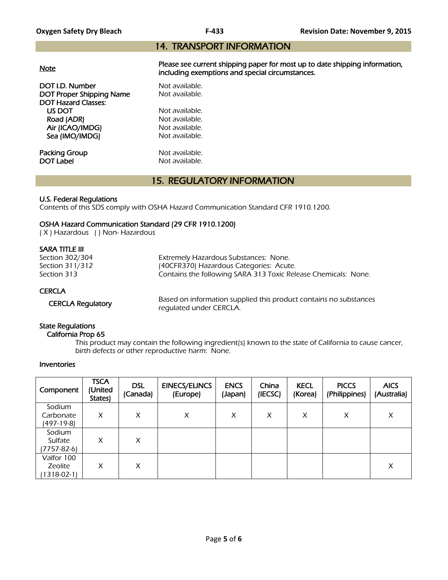# 14. TRANSPORT INFORMATION

| <u>Note</u>                | Please see current shipping paper for most up to date shipping information,<br>including exemptions and special circumstances. |
|----------------------------|--------------------------------------------------------------------------------------------------------------------------------|
| DOT I.D. Number            | Not available.                                                                                                                 |
| DOT Proper Shipping Name   | Not available.                                                                                                                 |
| <b>DOT Hazard Classes:</b> |                                                                                                                                |
| US DOT                     | Not available.                                                                                                                 |
| Road (ADR)                 | Not available.                                                                                                                 |
| Air (ICAO/IMDG)            | Not available.                                                                                                                 |
| Sea (IMO/IMDG)             | Not available.                                                                                                                 |
| Packing Group              | Not available.                                                                                                                 |
| DOT Label                  | Not available.                                                                                                                 |

# 15. REGULATORY INFORMATION

### U.S. Federal Regulations

Contents of this SDS comply with OSHA Hazard Communication Standard CFR 1910.1200.

### OSHA Hazard Communication Standard (29 CFR 1910.1200)

( X ) Hazardous ( ) Non- Hazardous

### SARA TITLE III

| Section 302/304<br>Section 311/312 | Extremely Hazardous Substances: None.<br>(40CFR370) Hazardous Categories: Acute. |
|------------------------------------|----------------------------------------------------------------------------------|
| Section 313                        | Contains the following SARA 313 Toxic Release Chemicals: None.                   |
| <b>CERCLA</b>                      |                                                                                  |

CERCLA Regulatory Based on information supplied this product contains no substances regulated under CERCLA.

## State Regulations

#### California Prop 65

 This product may contain the following ingredient(s) known to the state of California to cause cancer, birth defects or other reproductive harm: None.

### Inventories

| Component                                | <b>TSCA</b><br>(United<br>States) | <b>DSL</b><br>(Canada) | <b>EINECS/ELINCS</b><br>(Europe) | <b>ENCS</b><br>(Japan) | China<br>(IECSC) | <b>KECL</b><br>(Korea) | <b>PICCS</b><br>(Philippines) | <b>AICS</b><br>(Australia) |
|------------------------------------------|-----------------------------------|------------------------|----------------------------------|------------------------|------------------|------------------------|-------------------------------|----------------------------|
| Sodium<br>Carbonate<br>(497-19-8)        | X                                 | X                      | X                                | X                      | X                | X                      | X                             | X                          |
| Sodium<br>Sulfate<br>(7757-82-6)         | X                                 | X                      |                                  |                        |                  |                        |                               |                            |
| Valfor 100<br>Zeolite<br>$1318 - 02 - 1$ | X                                 | X                      |                                  |                        |                  |                        |                               | X                          |